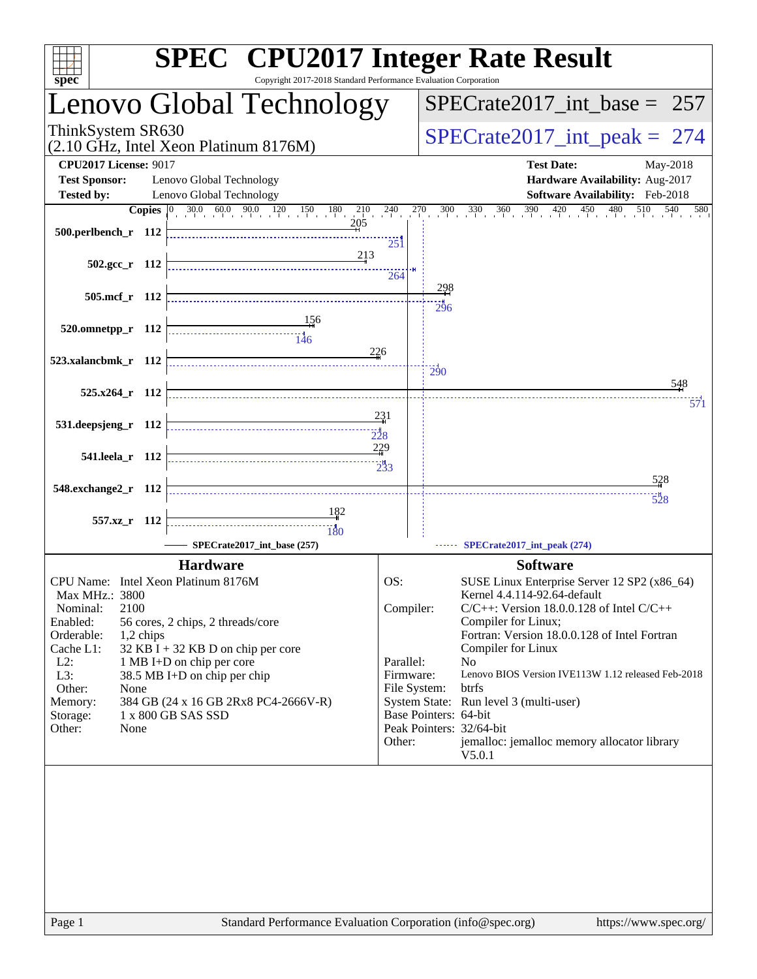| spec <sup>®</sup>                                    | <b>SPEC<sup>®</sup></b> CPU2017 Integer Rate Result<br>Copyright 2017-2018 Standard Performance Evaluation Corporation                                                                            |                           |                       |                                                                                                                                                       |
|------------------------------------------------------|---------------------------------------------------------------------------------------------------------------------------------------------------------------------------------------------------|---------------------------|-----------------------|-------------------------------------------------------------------------------------------------------------------------------------------------------|
|                                                      | Lenovo Global Technology                                                                                                                                                                          |                           |                       | $SPECrate2017\_int\_base = 257$                                                                                                                       |
| ThinkSystem SR630                                    | (2.10 GHz, Intel Xeon Platinum 8176M)                                                                                                                                                             |                           |                       | $SPECrate2017\_int\_peak = 274$                                                                                                                       |
| <b>CPU2017 License: 9017</b><br><b>Test Sponsor:</b> | Lenovo Global Technology                                                                                                                                                                          |                           |                       | <b>Test Date:</b><br>May-2018<br>Hardware Availability: Aug-2017                                                                                      |
| <b>Tested by:</b>                                    | Lenovo Global Technology                                                                                                                                                                          |                           |                       | Software Availability: Feb-2018                                                                                                                       |
|                                                      | <b>Copies</b> $\begin{bmatrix} 0 & 30.0 & 60.0 & 90.0 & 120 & 150 & 180 & 210 & 240 \end{bmatrix}$                                                                                                |                           | 270                   | $\frac{30}{1}$ $\frac{30}{1}$ $\frac{36}{1}$ $\frac{360}{1}$ $\frac{390}{1}$ $\frac{420}{1}$ $\frac{450}{1}$<br>$\overline{480}$<br>510<br>540<br>580 |
| 500.perlbench_r 112                                  | 205                                                                                                                                                                                               | $25\mathrm{1}$            |                       |                                                                                                                                                       |
| $502.\text{gcc r}$ 112                               | 213                                                                                                                                                                                               | 264                       |                       |                                                                                                                                                       |
|                                                      |                                                                                                                                                                                                   |                           | 298                   |                                                                                                                                                       |
| 505.mcf_r 112                                        |                                                                                                                                                                                                   |                           | 296                   |                                                                                                                                                       |
| 520.omnetpp_r 112                                    | 156<br>$\begin{array}{c c c c c} \hline \text{---} & \text{---} & \text{---} \\ \hline \text{---} & \text{---} & \text{---} \\ \hline \text{---} & \text{---} & \text{---} \\ \hline \end{array}$ |                           |                       |                                                                                                                                                       |
| 523.xalancbmk_r 112                                  |                                                                                                                                                                                                   | 226                       |                       |                                                                                                                                                       |
|                                                      |                                                                                                                                                                                                   |                           | $\overline{290}$      |                                                                                                                                                       |
| $525.x264$ r 112                                     |                                                                                                                                                                                                   |                           |                       | 548<br>571                                                                                                                                            |
| 531.deepsjeng_r 112                                  |                                                                                                                                                                                                   | 231                       |                       |                                                                                                                                                       |
|                                                      |                                                                                                                                                                                                   | $\frac{1}{228}$           |                       |                                                                                                                                                       |
| 541.leela_r 112                                      |                                                                                                                                                                                                   | 229<br>$2^{11}_{33}$      |                       |                                                                                                                                                       |
| 548.exchange2_r 112                                  |                                                                                                                                                                                                   |                           |                       | 528                                                                                                                                                   |
|                                                      |                                                                                                                                                                                                   |                           |                       | $\frac{1}{528}$                                                                                                                                       |
| 557.xz_r 112                                         | 182<br>$\frac{11}{180}$                                                                                                                                                                           |                           |                       |                                                                                                                                                       |
|                                                      | SPECrate2017_int_base (257)                                                                                                                                                                       |                           |                       | SPECrate2017_int_peak (274)                                                                                                                           |
|                                                      | <b>Hardware</b>                                                                                                                                                                                   |                           |                       | <b>Software</b>                                                                                                                                       |
| CPU Name: Intel Xeon Platinum 8176M                  |                                                                                                                                                                                                   | OS:                       |                       | SUSE Linux Enterprise Server 12 SP2 (x86_64)                                                                                                          |
| Max MHz.: 3800<br>2100<br>Nominal:                   |                                                                                                                                                                                                   | Compiler:                 |                       | Kernel 4.4.114-92.64-default<br>$C/C++$ : Version 18.0.0.128 of Intel $C/C++$                                                                         |
| Enabled:                                             | 56 cores, 2 chips, 2 threads/core                                                                                                                                                                 |                           |                       | Compiler for Linux;                                                                                                                                   |
| Orderable:<br>1,2 chips<br>Cache L1:                 | $32$ KB I + 32 KB D on chip per core                                                                                                                                                              |                           |                       | Fortran: Version 18.0.0.128 of Intel Fortran<br>Compiler for Linux                                                                                    |
| $L2$ :                                               | 1 MB I+D on chip per core                                                                                                                                                                         | Parallel:                 |                       | N <sub>o</sub>                                                                                                                                        |
| L3:<br>Other:<br>None                                | 38.5 MB I+D on chip per chip                                                                                                                                                                      | Firmware:<br>File System: |                       | Lenovo BIOS Version IVE113W 1.12 released Feb-2018<br>btrfs                                                                                           |
| Memory:                                              | 384 GB (24 x 16 GB 2Rx8 PC4-2666V-R)                                                                                                                                                              |                           |                       | System State: Run level 3 (multi-user)                                                                                                                |
| Storage:                                             | 1 x 800 GB SAS SSD                                                                                                                                                                                |                           | Base Pointers: 64-bit |                                                                                                                                                       |
| Other:<br>None                                       |                                                                                                                                                                                                   | Other:                    |                       | Peak Pointers: 32/64-bit<br>jemalloc: jemalloc memory allocator library                                                                               |
|                                                      |                                                                                                                                                                                                   |                           |                       | V5.0.1                                                                                                                                                |
|                                                      |                                                                                                                                                                                                   |                           |                       |                                                                                                                                                       |
|                                                      |                                                                                                                                                                                                   |                           |                       |                                                                                                                                                       |
|                                                      |                                                                                                                                                                                                   |                           |                       |                                                                                                                                                       |
|                                                      |                                                                                                                                                                                                   |                           |                       |                                                                                                                                                       |
|                                                      |                                                                                                                                                                                                   |                           |                       |                                                                                                                                                       |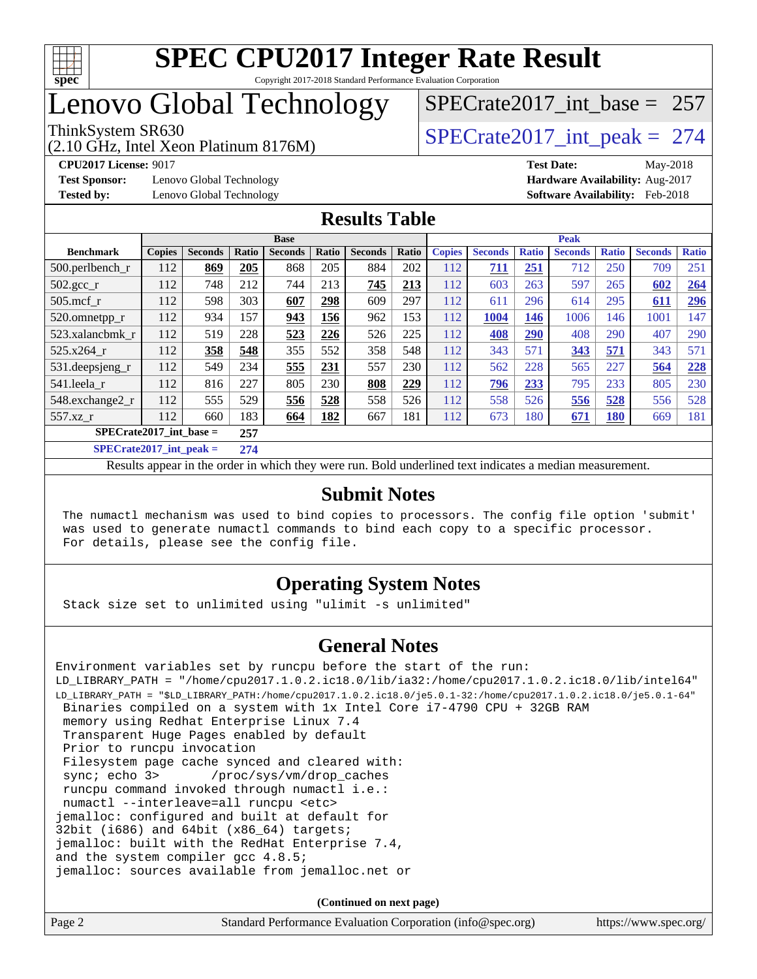

# Lenovo Global Technology

(2.10 GHz, Intel Xeon Platinum 8176M)

**[Test Sponsor:](http://www.spec.org/auto/cpu2017/Docs/result-fields.html#TestSponsor)** Lenovo Global Technology **[Hardware Availability:](http://www.spec.org/auto/cpu2017/Docs/result-fields.html#HardwareAvailability)** Aug-2017 **[Tested by:](http://www.spec.org/auto/cpu2017/Docs/result-fields.html#Testedby)** Lenovo Global Technology **[Software Availability:](http://www.spec.org/auto/cpu2017/Docs/result-fields.html#SoftwareAvailability)** Feb-2018

[SPECrate2017\\_int\\_base =](http://www.spec.org/auto/cpu2017/Docs/result-fields.html#SPECrate2017intbase) 257

# ThinkSystem SR630<br>  $\angle Q$  10 GHz, Intel Year Platinum 8176M

**[CPU2017 License:](http://www.spec.org/auto/cpu2017/Docs/result-fields.html#CPU2017License)** 9017 **[Test Date:](http://www.spec.org/auto/cpu2017/Docs/result-fields.html#TestDate)** May-2018

### **[Results Table](http://www.spec.org/auto/cpu2017/Docs/result-fields.html#ResultsTable)**

| <b>Base</b>                      |               |                |       |                |       |                |       | <b>Peak</b>   |                |              |                |              |                |              |
|----------------------------------|---------------|----------------|-------|----------------|-------|----------------|-------|---------------|----------------|--------------|----------------|--------------|----------------|--------------|
| <b>Benchmark</b>                 | <b>Copies</b> | <b>Seconds</b> | Ratio | <b>Seconds</b> | Ratio | <b>Seconds</b> | Ratio | <b>Copies</b> | <b>Seconds</b> | <b>Ratio</b> | <b>Seconds</b> | <b>Ratio</b> | <b>Seconds</b> | <b>Ratio</b> |
| $500.$ perlbench_r               | 112           | 869            | 205   | 868            | 205   | 884            | 202   | 112           | 711            | 251          | 712            | 250          | 709            | 251          |
| $502.\text{gcc}$ <sub>r</sub>    | 112           | 748            | 212   | 744            | 213   | 745            | 213   | 112           | 603            | 263          | 597            | 265          | 602            | 264          |
| $505$ .mcf r                     | 112           | 598            | 303   | 607            | 298   | 609            | 297   | 112           | 611            | 296          | 614            | 295          | 611            | <u>296</u>   |
| 520.omnetpp_r                    | 112           | 934            | 157   | 943            | 156   | 962            | 153   | 112           | 1004           | 146          | 1006           | 146          | 1001           | 147          |
| 523.xalancbmk r                  | 112           | 519            | 228   | 523            | 226   | 526            | 225   | 112           | 408            | 290          | 408            | 290          | 407            | 290          |
| 525.x264 r                       | 112           | 358            | 548   | 355            | 552   | 358            | 548   | 112           | 343            | 571          | 343            | 571          | 343            | 571          |
| 531.deepsjeng_r                  | 112           | 549            | 234   | 555            | 231   | 557            | 230   | 112           | 562            | 228          | 565            | 227          | 564            | 228          |
| 541.leela r                      | 112           | 816            | 227   | 805            | 230   | 808            | 229   | 112           | 796            | 233          | 795            | 233          | 805            | 230          |
| 548.exchange2_r                  | 112           | 555            | 529   | 556            | 528   | 558            | 526   | 112           | 558            | 526          | 556            | 528          | 556            | 528          |
| 557.xz                           | 112           | 660            | 183   | 664            | 182   | 667            | 181   | 112           | 673            | 180          | 671            | <b>180</b>   | 669            | 181          |
| $SPECrate2017$ int base =<br>257 |               |                |       |                |       |                |       |               |                |              |                |              |                |              |
| $CDFCsoft2017 int model =$       |               | 274            |       |                |       |                |       |               |                |              |                |              |                |              |

**[SPECrate2017\\_int\\_peak =](http://www.spec.org/auto/cpu2017/Docs/result-fields.html#SPECrate2017intpeak) 274** Results appear in the [order in which they were run](http://www.spec.org/auto/cpu2017/Docs/result-fields.html#RunOrder). Bold underlined text [indicates a median measurement](http://www.spec.org/auto/cpu2017/Docs/result-fields.html#Median).

#### **[Submit Notes](http://www.spec.org/auto/cpu2017/Docs/result-fields.html#SubmitNotes)**

 The numactl mechanism was used to bind copies to processors. The config file option 'submit' was used to generate numactl commands to bind each copy to a specific processor. For details, please see the config file.

## **[Operating System Notes](http://www.spec.org/auto/cpu2017/Docs/result-fields.html#OperatingSystemNotes)**

Stack size set to unlimited using "ulimit -s unlimited"

### **[General Notes](http://www.spec.org/auto/cpu2017/Docs/result-fields.html#GeneralNotes)**

Environment variables set by runcpu before the start of the run: LD\_LIBRARY\_PATH = "/home/cpu2017.1.0.2.ic18.0/lib/ia32:/home/cpu2017.1.0.2.ic18.0/lib/intel64" LD\_LIBRARY\_PATH = "\$LD\_LIBRARY\_PATH:/home/cpu2017.1.0.2.ic18.0/je5.0.1-32:/home/cpu2017.1.0.2.ic18.0/je5.0.1-64" Binaries compiled on a system with 1x Intel Core i7-4790 CPU + 32GB RAM memory using Redhat Enterprise Linux 7.4 Transparent Huge Pages enabled by default Prior to runcpu invocation Filesystem page cache synced and cleared with: sync; echo 3> /proc/sys/vm/drop\_caches runcpu command invoked through numactl i.e.: numactl --interleave=all runcpu <etc> jemalloc: configured and built at default for 32bit (i686) and 64bit (x86\_64) targets; jemalloc: built with the RedHat Enterprise 7.4, and the system compiler gcc 4.8.5; jemalloc: sources available from jemalloc.net or

**(Continued on next page)**

| Page 2 | Standard Performance Evaluation Corporation (info@spec.org) | https://www.spec.org/ |
|--------|-------------------------------------------------------------|-----------------------|
|        |                                                             |                       |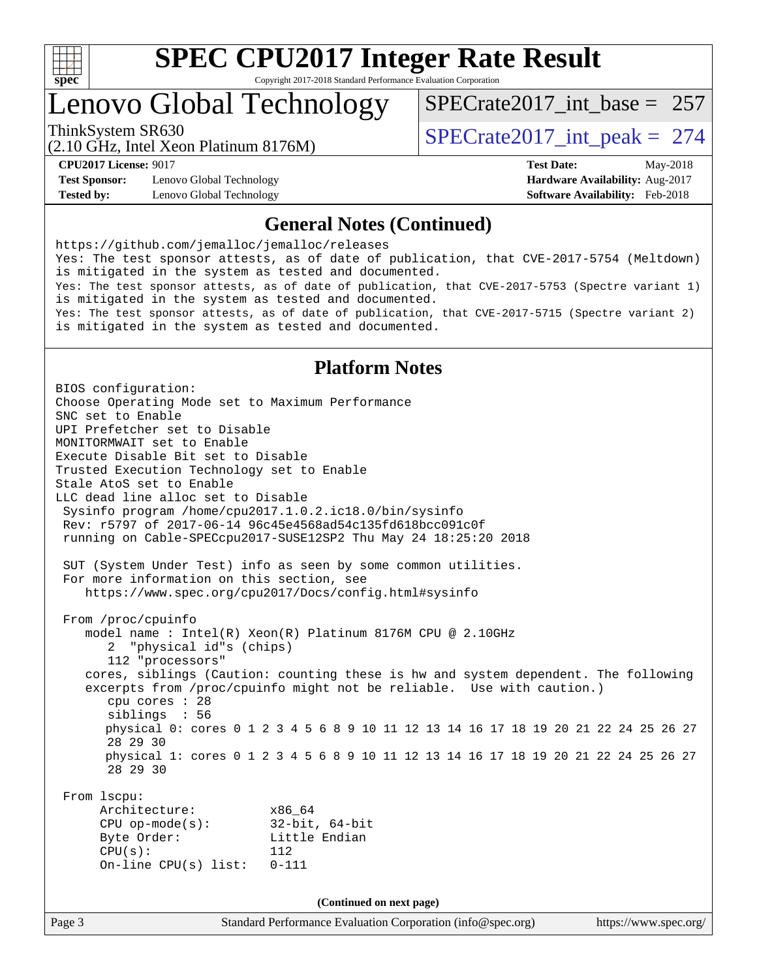

# Lenovo Global Technology

ThinkSystem SR630<br>  $\angle Q$  10 GHz, Intel Year Platinum 8176M [SPECrate2017\\_int\\_base =](http://www.spec.org/auto/cpu2017/Docs/result-fields.html#SPECrate2017intbase) 257

(2.10 GHz, Intel Xeon Platinum 8176M)

**[Test Sponsor:](http://www.spec.org/auto/cpu2017/Docs/result-fields.html#TestSponsor)** Lenovo Global Technology **[Hardware Availability:](http://www.spec.org/auto/cpu2017/Docs/result-fields.html#HardwareAvailability)** Aug-2017 **[Tested by:](http://www.spec.org/auto/cpu2017/Docs/result-fields.html#Testedby)** Lenovo Global Technology **[Software Availability:](http://www.spec.org/auto/cpu2017/Docs/result-fields.html#SoftwareAvailability)** Feb-2018

**[CPU2017 License:](http://www.spec.org/auto/cpu2017/Docs/result-fields.html#CPU2017License)** 9017 **[Test Date:](http://www.spec.org/auto/cpu2017/Docs/result-fields.html#TestDate)** May-2018

### **[General Notes \(Continued\)](http://www.spec.org/auto/cpu2017/Docs/result-fields.html#GeneralNotes)**

<https://github.com/jemalloc/jemalloc/releases> Yes: The test sponsor attests, as of date of publication, that CVE-2017-5754 (Meltdown) is mitigated in the system as tested and documented. Yes: The test sponsor attests, as of date of publication, that CVE-2017-5753 (Spectre variant 1) is mitigated in the system as tested and documented. Yes: The test sponsor attests, as of date of publication, that CVE-2017-5715 (Spectre variant 2) is mitigated in the system as tested and documented.

## **[Platform Notes](http://www.spec.org/auto/cpu2017/Docs/result-fields.html#PlatformNotes)**

Page 3 Standard Performance Evaluation Corporation [\(info@spec.org\)](mailto:info@spec.org) <https://www.spec.org/> BIOS configuration: Choose Operating Mode set to Maximum Performance SNC set to Enable UPI Prefetcher set to Disable MONITORMWAIT set to Enable Execute Disable Bit set to Disable Trusted Execution Technology set to Enable Stale AtoS set to Enable LLC dead line alloc set to Disable Sysinfo program /home/cpu2017.1.0.2.ic18.0/bin/sysinfo Rev: r5797 of 2017-06-14 96c45e4568ad54c135fd618bcc091c0f running on Cable-SPECcpu2017-SUSE12SP2 Thu May 24 18:25:20 2018 SUT (System Under Test) info as seen by some common utilities. For more information on this section, see <https://www.spec.org/cpu2017/Docs/config.html#sysinfo> From /proc/cpuinfo model name : Intel(R) Xeon(R) Platinum 8176M CPU @ 2.10GHz 2 "physical id"s (chips) 112 "processors" cores, siblings (Caution: counting these is hw and system dependent. The following excerpts from /proc/cpuinfo might not be reliable. Use with caution.) cpu cores : 28 siblings : 56 physical 0: cores 0 1 2 3 4 5 6 8 9 10 11 12 13 14 16 17 18 19 20 21 22 24 25 26 27 28 29 30 physical 1: cores 0 1 2 3 4 5 6 8 9 10 11 12 13 14 16 17 18 19 20 21 22 24 25 26 27 28 29 30 From lscpu: Architecture: x86\_64 CPU op-mode(s): 32-bit, 64-bit Byte Order: Little Endian CPU(s): 112 On-line CPU(s) list: 0-111 **(Continued on next page)**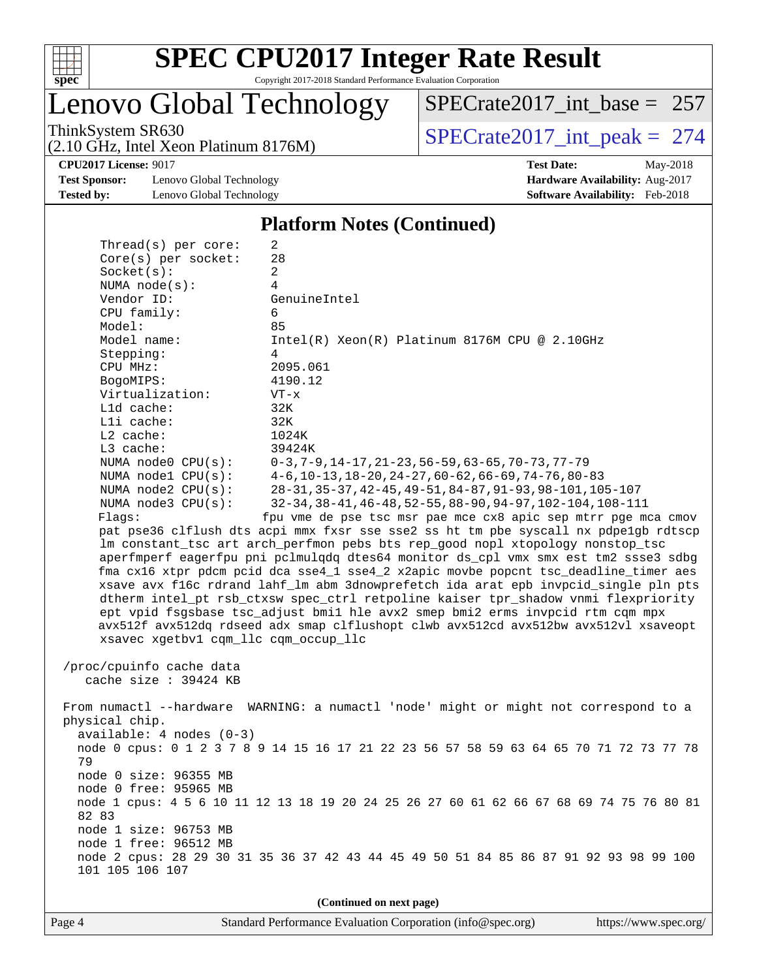

Lenovo Global Technology

ThinkSystem SR630<br>  $(2.10 \text{ GHz})$  Intel Xeon Platinum 8176M) [SPECrate2017\\_int\\_peak =](http://www.spec.org/auto/cpu2017/Docs/result-fields.html#SPECrate2017intpeak) 274 [SPECrate2017\\_int\\_base =](http://www.spec.org/auto/cpu2017/Docs/result-fields.html#SPECrate2017intbase) 257

(2.10 GHz, Intel Xeon Platinum 8176M)

**[Test Sponsor:](http://www.spec.org/auto/cpu2017/Docs/result-fields.html#TestSponsor)** Lenovo Global Technology **[Hardware Availability:](http://www.spec.org/auto/cpu2017/Docs/result-fields.html#HardwareAvailability)** Aug-2017 **[Tested by:](http://www.spec.org/auto/cpu2017/Docs/result-fields.html#Testedby)** Lenovo Global Technology **[Software Availability:](http://www.spec.org/auto/cpu2017/Docs/result-fields.html#SoftwareAvailability)** Feb-2018

**[CPU2017 License:](http://www.spec.org/auto/cpu2017/Docs/result-fields.html#CPU2017License)** 9017 **[Test Date:](http://www.spec.org/auto/cpu2017/Docs/result-fields.html#TestDate)** May-2018

#### **[Platform Notes \(Continued\)](http://www.spec.org/auto/cpu2017/Docs/result-fields.html#PlatformNotes)**

| Thread(s) per core:                            | 2                                                                                       |
|------------------------------------------------|-----------------------------------------------------------------------------------------|
| Core(s) per socket:                            | 28                                                                                      |
| Socket(s):                                     | 2                                                                                       |
| NUMA $node(s):$                                | 4                                                                                       |
| Vendor ID:                                     | GenuineIntel                                                                            |
| CPU family:                                    | 6                                                                                       |
| Model:                                         | 85                                                                                      |
| Model name:                                    | $Intel(R) Xeon(R) Platinum 8176M CPU @ 2.10GHz$                                         |
| Stepping:                                      | 4                                                                                       |
| CPU MHz:                                       | 2095.061                                                                                |
| BogoMIPS:                                      | 4190.12                                                                                 |
| Virtualization:                                | $VT - x$                                                                                |
| L1d cache:<br>Lli cache:                       | 32K<br>32K                                                                              |
| L2 cache:                                      | 1024K                                                                                   |
| L3 cache:                                      | 39424K                                                                                  |
| NUMA $node0$ $CPU(s)$ :                        | $0-3$ , $7-9$ , $14-17$ , $21-23$ , $56-59$ , $63-65$ , $70-73$ , $77-79$               |
| NUMA nodel $CPU(s):$                           | $4-6, 10-13, 18-20, 24-27, 60-62, 66-69, 74-76, 80-83$                                  |
| NUMA $node2$ $CPU(s)$ :                        | 28-31, 35-37, 42-45, 49-51, 84-87, 91-93, 98-101, 105-107                               |
| NUMA node3 CPU(s):                             | 32-34, 38-41, 46-48, 52-55, 88-90, 94-97, 102-104, 108-111                              |
| Flaqs:                                         | fpu vme de pse tsc msr pae mce cx8 apic sep mtrr pge mca cmov                           |
|                                                | pat pse36 clflush dts acpi mmx fxsr sse sse2 ss ht tm pbe syscall nx pdpelgb rdtscp     |
|                                                | lm constant_tsc art arch_perfmon pebs bts rep_good nopl xtopology nonstop_tsc           |
|                                                | aperfmperf eagerfpu pni pclmulqdq dtes64 monitor ds_cpl vmx smx est tm2 ssse3 sdbg      |
|                                                | fma cx16 xtpr pdcm pcid dca sse4_1 sse4_2 x2apic movbe popcnt tsc_deadline_timer aes    |
|                                                | xsave avx f16c rdrand lahf_lm abm 3dnowprefetch ida arat epb invpcid_single pln pts     |
|                                                | dtherm intel_pt rsb_ctxsw spec_ctrl retpoline kaiser tpr_shadow vnmi flexpriority       |
|                                                | ept vpid fsgsbase tsc_adjust bmil hle avx2 smep bmi2 erms invpcid rtm cqm mpx           |
|                                                | avx512f avx512dq rdseed adx smap clflushopt clwb avx512cd avx512bw avx512vl xsaveopt    |
| xsavec xgetbvl cqm_llc cqm_occup_llc           |                                                                                         |
|                                                |                                                                                         |
| /proc/cpuinfo cache data                       |                                                                                         |
| cache size : 39424 KB                          |                                                                                         |
|                                                |                                                                                         |
|                                                | From numactl --hardware WARNING: a numactl 'node' might or might not correspond to a    |
| physical chip.                                 |                                                                                         |
| $available: 4 nodes (0-3)$                     |                                                                                         |
|                                                | node 0 cpus: 0 1 2 3 7 8 9 14 15 16 17 21 22 23 56 57 58 59 63 64 65 70 71 72 73 77 78  |
| 79                                             |                                                                                         |
| node 0 size: 96355 MB                          |                                                                                         |
| node 0 free: 95965 MB                          |                                                                                         |
|                                                | node 1 cpus: 4 5 6 10 11 12 13 18 19 20 24 25 26 27 60 61 62 66 67 68 69 74 75 76 80 81 |
| 82 83                                          |                                                                                         |
| node 1 size: 96753 MB<br>node 1 free: 96512 MB |                                                                                         |
|                                                | node 2 cpus: 28 29 30 31 35 36 37 42 43 44 45 49 50 51 84 85 86 87 91 92 93 98 99 100   |
| 101 105 106 107                                |                                                                                         |
|                                                |                                                                                         |
|                                                | (Continued on next page)                                                                |
|                                                |                                                                                         |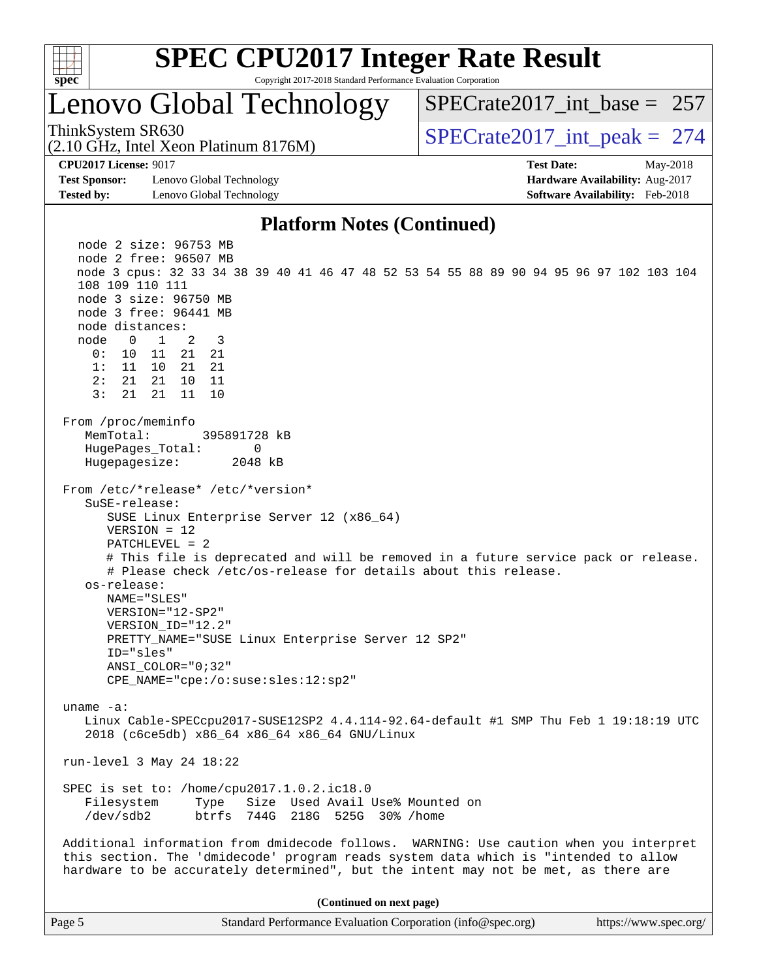

# Lenovo Global Technology

(2.10 GHz, Intel Xeon Platinum 8176M)

ThinkSystem SR630<br>  $\angle Q$  10 GHz, Intel Year Platinum 8176M  $SPECrate2017\_int\_base = 257$ 

**[Test Sponsor:](http://www.spec.org/auto/cpu2017/Docs/result-fields.html#TestSponsor)** Lenovo Global Technology **[Hardware Availability:](http://www.spec.org/auto/cpu2017/Docs/result-fields.html#HardwareAvailability)** Aug-2017 **[Tested by:](http://www.spec.org/auto/cpu2017/Docs/result-fields.html#Testedby)** Lenovo Global Technology **[Software Availability:](http://www.spec.org/auto/cpu2017/Docs/result-fields.html#SoftwareAvailability)** Feb-2018

**[CPU2017 License:](http://www.spec.org/auto/cpu2017/Docs/result-fields.html#CPU2017License)** 9017 **[Test Date:](http://www.spec.org/auto/cpu2017/Docs/result-fields.html#TestDate)** May-2018

#### **[Platform Notes \(Continued\)](http://www.spec.org/auto/cpu2017/Docs/result-fields.html#PlatformNotes)**

 node 2 size: 96753 MB node 2 free: 96507 MB node 3 cpus: 32 33 34 38 39 40 41 46 47 48 52 53 54 55 88 89 90 94 95 96 97 102 103 104 108 109 110 111 node 3 size: 96750 MB node 3 free: 96441 MB node distances: node 0 1 2 3 0: 10 11 21 21 1: 11 10 21 21 2: 21 21 10 11 3: 21 21 11 10 From /proc/meminfo MemTotal: 395891728 kB HugePages\_Total: 0 Hugepagesize: 2048 kB From /etc/\*release\* /etc/\*version\* SuSE-release: SUSE Linux Enterprise Server 12 (x86\_64) VERSION = 12 PATCHLEVEL = 2 # This file is deprecated and will be removed in a future service pack or release. # Please check /etc/os-release for details about this release. os-release: NAME="SLES" VERSION="12-SP2" VERSION\_ID="12.2" PRETTY\_NAME="SUSE Linux Enterprise Server 12 SP2" ID="sles" ANSI\_COLOR="0;32" CPE\_NAME="cpe:/o:suse:sles:12:sp2" uname -a: Linux Cable-SPECcpu2017-SUSE12SP2 4.4.114-92.64-default #1 SMP Thu Feb 1 19:18:19 UTC 2018 (c6ce5db) x86\_64 x86\_64 x86\_64 GNU/Linux run-level 3 May 24 18:22 SPEC is set to: /home/cpu2017.1.0.2.ic18.0 Filesystem Type Size Used Avail Use% Mounted on /dev/sdb2 btrfs 744G 218G 525G 30% /home Additional information from dmidecode follows. WARNING: Use caution when you interpret this section. The 'dmidecode' program reads system data which is "intended to allow hardware to be accurately determined", but the intent may not be met, as there are **(Continued on next page)**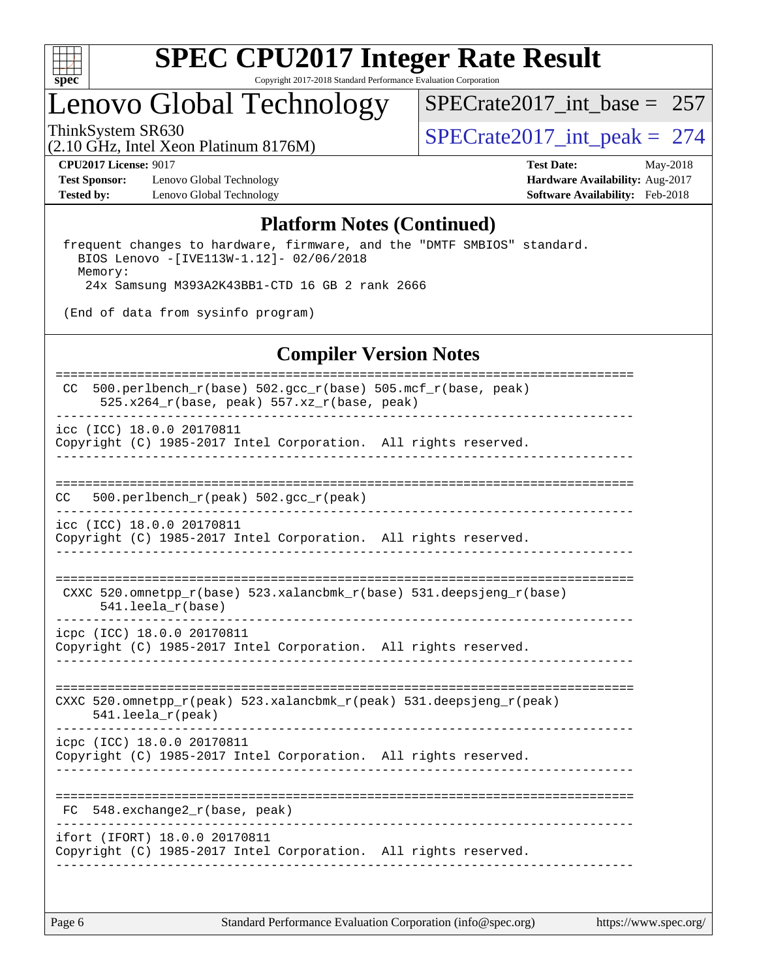

# **[SPEC CPU2017 Integer Rate Result](http://www.spec.org/auto/cpu2017/Docs/result-fields.html#SPECCPU2017IntegerRateResult)**

Copyright 2017-2018 Standard Performance Evaluation Corporation

# Lenovo Global Technology

[SPECrate2017\\_int\\_base =](http://www.spec.org/auto/cpu2017/Docs/result-fields.html#SPECrate2017intbase) 257

(2.10 GHz, Intel Xeon Platinum 8176M)

ThinkSystem SR630<br>(2.10 GHz, Intel Xeon Platinum 8176M)  $SPECrate2017\_int\_peak = 274$ 

**[Test Sponsor:](http://www.spec.org/auto/cpu2017/Docs/result-fields.html#TestSponsor)** Lenovo Global Technology **[Hardware Availability:](http://www.spec.org/auto/cpu2017/Docs/result-fields.html#HardwareAvailability)** Aug-2017 [Tested by:](http://www.spec.org/auto/cpu2017/Docs/result-fields.html#Testedby) Lenovo Global Technology **[Software Availability:](http://www.spec.org/auto/cpu2017/Docs/result-fields.html#SoftwareAvailability)** Feb-2018

**[CPU2017 License:](http://www.spec.org/auto/cpu2017/Docs/result-fields.html#CPU2017License)** 9017 **[Test Date:](http://www.spec.org/auto/cpu2017/Docs/result-fields.html#TestDate)** May-2018

#### **[Platform Notes \(Continued\)](http://www.spec.org/auto/cpu2017/Docs/result-fields.html#PlatformNotes)**

 frequent changes to hardware, firmware, and the "DMTF SMBIOS" standard. BIOS Lenovo -[IVE113W-1.12]- 02/06/2018 Memory: 24x Samsung M393A2K43BB1-CTD 16 GB 2 rank 2666

(End of data from sysinfo program)

#### **[Compiler Version Notes](http://www.spec.org/auto/cpu2017/Docs/result-fields.html#CompilerVersionNotes)**

| 500.perlbench_r(base) 502.gcc_r(base) 505.mcf_r(base, peak)<br>CC<br>$525.x264_r(base, peak) 557.xz_r(base, peak)$ |
|--------------------------------------------------------------------------------------------------------------------|
| icc (ICC) 18.0.0 20170811<br>Copyright (C) 1985-2017 Intel Corporation. All rights reserved.                       |
|                                                                                                                    |
| 500.perlbench_r(peak) 502.gcc_r(peak)<br>CC.                                                                       |
| icc (ICC) 18.0.0 20170811<br>Copyright (C) 1985-2017 Intel Corporation. All rights reserved.                       |
| CXXC 520.omnetpp_r(base) 523.xalancbmk_r(base) 531.deepsjeng_r(base)<br>$541.$ leela $r(base)$                     |
| icpc (ICC) 18.0.0 20170811<br>Copyright (C) 1985-2017 Intel Corporation. All rights reserved.                      |
| CXXC 520.omnetpp_r(peak) 523.xalancbmk_r(peak) 531.deepsjeng_r(peak)<br>$541.$ leela_r(peak)                       |
| icpc (ICC) 18.0.0 20170811<br>Copyright (C) 1985-2017 Intel Corporation. All rights reserved.                      |
| 548.exchange2_r(base, peak)<br>FC.                                                                                 |
| ifort (IFORT) 18.0.0 20170811<br>Copyright (C) 1985-2017 Intel Corporation. All rights reserved.                   |
|                                                                                                                    |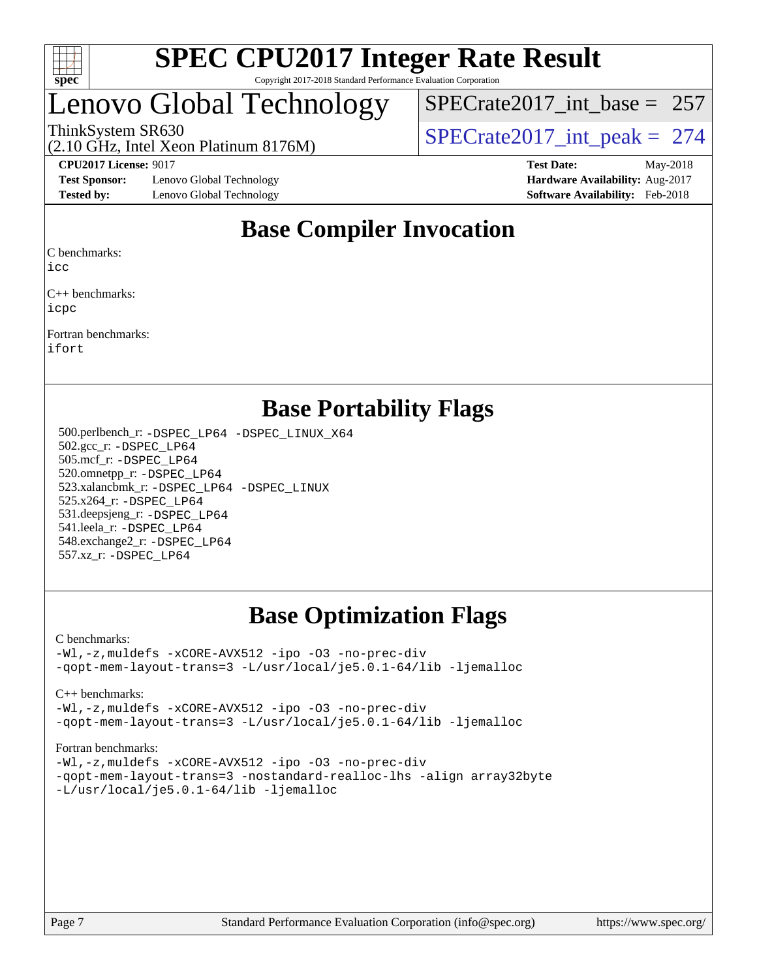

# Lenovo Global Technology

[SPECrate2017\\_int\\_base =](http://www.spec.org/auto/cpu2017/Docs/result-fields.html#SPECrate2017intbase) 257

(2.10 GHz, Intel Xeon Platinum 8176M)

ThinkSystem SR630<br>  $\binom{210 \text{ CH}_7 \text{ Intel Year Definition 8176M}}{SPECrate2017\_int\_peak} = 274$ 

**[Test Sponsor:](http://www.spec.org/auto/cpu2017/Docs/result-fields.html#TestSponsor)** Lenovo Global Technology **[Hardware Availability:](http://www.spec.org/auto/cpu2017/Docs/result-fields.html#HardwareAvailability)** Aug-2017 **[Tested by:](http://www.spec.org/auto/cpu2017/Docs/result-fields.html#Testedby)** Lenovo Global Technology **[Software Availability:](http://www.spec.org/auto/cpu2017/Docs/result-fields.html#SoftwareAvailability)** Feb-2018

**[CPU2017 License:](http://www.spec.org/auto/cpu2017/Docs/result-fields.html#CPU2017License)** 9017 **[Test Date:](http://www.spec.org/auto/cpu2017/Docs/result-fields.html#TestDate)** May-2018

# **[Base Compiler Invocation](http://www.spec.org/auto/cpu2017/Docs/result-fields.html#BaseCompilerInvocation)**

[C benchmarks:](http://www.spec.org/auto/cpu2017/Docs/result-fields.html#Cbenchmarks)

[icc](http://www.spec.org/cpu2017/results/res2018q2/cpu2017-20180528-06042.flags.html#user_CCbase_intel_icc_18.0_66fc1ee009f7361af1fbd72ca7dcefbb700085f36577c54f309893dd4ec40d12360134090235512931783d35fd58c0460139e722d5067c5574d8eaf2b3e37e92)

[C++ benchmarks:](http://www.spec.org/auto/cpu2017/Docs/result-fields.html#CXXbenchmarks) [icpc](http://www.spec.org/cpu2017/results/res2018q2/cpu2017-20180528-06042.flags.html#user_CXXbase_intel_icpc_18.0_c510b6838c7f56d33e37e94d029a35b4a7bccf4766a728ee175e80a419847e808290a9b78be685c44ab727ea267ec2f070ec5dc83b407c0218cded6866a35d07)

[Fortran benchmarks](http://www.spec.org/auto/cpu2017/Docs/result-fields.html#Fortranbenchmarks): [ifort](http://www.spec.org/cpu2017/results/res2018q2/cpu2017-20180528-06042.flags.html#user_FCbase_intel_ifort_18.0_8111460550e3ca792625aed983ce982f94888b8b503583aa7ba2b8303487b4d8a21a13e7191a45c5fd58ff318f48f9492884d4413fa793fd88dd292cad7027ca)

**[Base Portability Flags](http://www.spec.org/auto/cpu2017/Docs/result-fields.html#BasePortabilityFlags)**

 500.perlbench\_r: [-DSPEC\\_LP64](http://www.spec.org/cpu2017/results/res2018q2/cpu2017-20180528-06042.flags.html#b500.perlbench_r_basePORTABILITY_DSPEC_LP64) [-DSPEC\\_LINUX\\_X64](http://www.spec.org/cpu2017/results/res2018q2/cpu2017-20180528-06042.flags.html#b500.perlbench_r_baseCPORTABILITY_DSPEC_LINUX_X64) 502.gcc\_r: [-DSPEC\\_LP64](http://www.spec.org/cpu2017/results/res2018q2/cpu2017-20180528-06042.flags.html#suite_basePORTABILITY502_gcc_r_DSPEC_LP64) 505.mcf\_r: [-DSPEC\\_LP64](http://www.spec.org/cpu2017/results/res2018q2/cpu2017-20180528-06042.flags.html#suite_basePORTABILITY505_mcf_r_DSPEC_LP64) 520.omnetpp\_r: [-DSPEC\\_LP64](http://www.spec.org/cpu2017/results/res2018q2/cpu2017-20180528-06042.flags.html#suite_basePORTABILITY520_omnetpp_r_DSPEC_LP64) 523.xalancbmk\_r: [-DSPEC\\_LP64](http://www.spec.org/cpu2017/results/res2018q2/cpu2017-20180528-06042.flags.html#suite_basePORTABILITY523_xalancbmk_r_DSPEC_LP64) [-DSPEC\\_LINUX](http://www.spec.org/cpu2017/results/res2018q2/cpu2017-20180528-06042.flags.html#b523.xalancbmk_r_baseCXXPORTABILITY_DSPEC_LINUX) 525.x264\_r: [-DSPEC\\_LP64](http://www.spec.org/cpu2017/results/res2018q2/cpu2017-20180528-06042.flags.html#suite_basePORTABILITY525_x264_r_DSPEC_LP64) 531.deepsjeng\_r: [-DSPEC\\_LP64](http://www.spec.org/cpu2017/results/res2018q2/cpu2017-20180528-06042.flags.html#suite_basePORTABILITY531_deepsjeng_r_DSPEC_LP64) 541.leela\_r: [-DSPEC\\_LP64](http://www.spec.org/cpu2017/results/res2018q2/cpu2017-20180528-06042.flags.html#suite_basePORTABILITY541_leela_r_DSPEC_LP64) 548.exchange2\_r: [-DSPEC\\_LP64](http://www.spec.org/cpu2017/results/res2018q2/cpu2017-20180528-06042.flags.html#suite_basePORTABILITY548_exchange2_r_DSPEC_LP64) 557.xz\_r: [-DSPEC\\_LP64](http://www.spec.org/cpu2017/results/res2018q2/cpu2017-20180528-06042.flags.html#suite_basePORTABILITY557_xz_r_DSPEC_LP64)

# **[Base Optimization Flags](http://www.spec.org/auto/cpu2017/Docs/result-fields.html#BaseOptimizationFlags)**

#### [C benchmarks](http://www.spec.org/auto/cpu2017/Docs/result-fields.html#Cbenchmarks):

[-Wl,-z,muldefs](http://www.spec.org/cpu2017/results/res2018q2/cpu2017-20180528-06042.flags.html#user_CCbase_link_force_multiple1_b4cbdb97b34bdee9ceefcfe54f4c8ea74255f0b02a4b23e853cdb0e18eb4525ac79b5a88067c842dd0ee6996c24547a27a4b99331201badda8798ef8a743f577) [-xCORE-AVX512](http://www.spec.org/cpu2017/results/res2018q2/cpu2017-20180528-06042.flags.html#user_CCbase_f-xCORE-AVX512) [-ipo](http://www.spec.org/cpu2017/results/res2018q2/cpu2017-20180528-06042.flags.html#user_CCbase_f-ipo) [-O3](http://www.spec.org/cpu2017/results/res2018q2/cpu2017-20180528-06042.flags.html#user_CCbase_f-O3) [-no-prec-div](http://www.spec.org/cpu2017/results/res2018q2/cpu2017-20180528-06042.flags.html#user_CCbase_f-no-prec-div) [-qopt-mem-layout-trans=3](http://www.spec.org/cpu2017/results/res2018q2/cpu2017-20180528-06042.flags.html#user_CCbase_f-qopt-mem-layout-trans_de80db37974c74b1f0e20d883f0b675c88c3b01e9d123adea9b28688d64333345fb62bc4a798493513fdb68f60282f9a726aa07f478b2f7113531aecce732043) [-L/usr/local/je5.0.1-64/lib](http://www.spec.org/cpu2017/results/res2018q2/cpu2017-20180528-06042.flags.html#user_CCbase_jemalloc_link_path64_4b10a636b7bce113509b17f3bd0d6226c5fb2346b9178c2d0232c14f04ab830f976640479e5c33dc2bcbbdad86ecfb6634cbbd4418746f06f368b512fced5394) [-ljemalloc](http://www.spec.org/cpu2017/results/res2018q2/cpu2017-20180528-06042.flags.html#user_CCbase_jemalloc_link_lib_d1249b907c500fa1c0672f44f562e3d0f79738ae9e3c4a9c376d49f265a04b9c99b167ecedbf6711b3085be911c67ff61f150a17b3472be731631ba4d0471706)

[C++ benchmarks:](http://www.spec.org/auto/cpu2017/Docs/result-fields.html#CXXbenchmarks)

[-Wl,-z,muldefs](http://www.spec.org/cpu2017/results/res2018q2/cpu2017-20180528-06042.flags.html#user_CXXbase_link_force_multiple1_b4cbdb97b34bdee9ceefcfe54f4c8ea74255f0b02a4b23e853cdb0e18eb4525ac79b5a88067c842dd0ee6996c24547a27a4b99331201badda8798ef8a743f577) [-xCORE-AVX512](http://www.spec.org/cpu2017/results/res2018q2/cpu2017-20180528-06042.flags.html#user_CXXbase_f-xCORE-AVX512) [-ipo](http://www.spec.org/cpu2017/results/res2018q2/cpu2017-20180528-06042.flags.html#user_CXXbase_f-ipo) [-O3](http://www.spec.org/cpu2017/results/res2018q2/cpu2017-20180528-06042.flags.html#user_CXXbase_f-O3) [-no-prec-div](http://www.spec.org/cpu2017/results/res2018q2/cpu2017-20180528-06042.flags.html#user_CXXbase_f-no-prec-div) [-qopt-mem-layout-trans=3](http://www.spec.org/cpu2017/results/res2018q2/cpu2017-20180528-06042.flags.html#user_CXXbase_f-qopt-mem-layout-trans_de80db37974c74b1f0e20d883f0b675c88c3b01e9d123adea9b28688d64333345fb62bc4a798493513fdb68f60282f9a726aa07f478b2f7113531aecce732043) [-L/usr/local/je5.0.1-64/lib](http://www.spec.org/cpu2017/results/res2018q2/cpu2017-20180528-06042.flags.html#user_CXXbase_jemalloc_link_path64_4b10a636b7bce113509b17f3bd0d6226c5fb2346b9178c2d0232c14f04ab830f976640479e5c33dc2bcbbdad86ecfb6634cbbd4418746f06f368b512fced5394) [-ljemalloc](http://www.spec.org/cpu2017/results/res2018q2/cpu2017-20180528-06042.flags.html#user_CXXbase_jemalloc_link_lib_d1249b907c500fa1c0672f44f562e3d0f79738ae9e3c4a9c376d49f265a04b9c99b167ecedbf6711b3085be911c67ff61f150a17b3472be731631ba4d0471706)

[Fortran benchmarks](http://www.spec.org/auto/cpu2017/Docs/result-fields.html#Fortranbenchmarks):

[-Wl,-z,muldefs](http://www.spec.org/cpu2017/results/res2018q2/cpu2017-20180528-06042.flags.html#user_FCbase_link_force_multiple1_b4cbdb97b34bdee9ceefcfe54f4c8ea74255f0b02a4b23e853cdb0e18eb4525ac79b5a88067c842dd0ee6996c24547a27a4b99331201badda8798ef8a743f577) [-xCORE-AVX512](http://www.spec.org/cpu2017/results/res2018q2/cpu2017-20180528-06042.flags.html#user_FCbase_f-xCORE-AVX512) [-ipo](http://www.spec.org/cpu2017/results/res2018q2/cpu2017-20180528-06042.flags.html#user_FCbase_f-ipo) [-O3](http://www.spec.org/cpu2017/results/res2018q2/cpu2017-20180528-06042.flags.html#user_FCbase_f-O3) [-no-prec-div](http://www.spec.org/cpu2017/results/res2018q2/cpu2017-20180528-06042.flags.html#user_FCbase_f-no-prec-div) [-qopt-mem-layout-trans=3](http://www.spec.org/cpu2017/results/res2018q2/cpu2017-20180528-06042.flags.html#user_FCbase_f-qopt-mem-layout-trans_de80db37974c74b1f0e20d883f0b675c88c3b01e9d123adea9b28688d64333345fb62bc4a798493513fdb68f60282f9a726aa07f478b2f7113531aecce732043) [-nostandard-realloc-lhs](http://www.spec.org/cpu2017/results/res2018q2/cpu2017-20180528-06042.flags.html#user_FCbase_f_2003_std_realloc_82b4557e90729c0f113870c07e44d33d6f5a304b4f63d4c15d2d0f1fab99f5daaed73bdb9275d9ae411527f28b936061aa8b9c8f2d63842963b95c9dd6426b8a) [-align array32byte](http://www.spec.org/cpu2017/results/res2018q2/cpu2017-20180528-06042.flags.html#user_FCbase_align_array32byte_b982fe038af199962ba9a80c053b8342c548c85b40b8e86eb3cc33dee0d7986a4af373ac2d51c3f7cf710a18d62fdce2948f201cd044323541f22fc0fffc51b6) [-L/usr/local/je5.0.1-64/lib](http://www.spec.org/cpu2017/results/res2018q2/cpu2017-20180528-06042.flags.html#user_FCbase_jemalloc_link_path64_4b10a636b7bce113509b17f3bd0d6226c5fb2346b9178c2d0232c14f04ab830f976640479e5c33dc2bcbbdad86ecfb6634cbbd4418746f06f368b512fced5394) [-ljemalloc](http://www.spec.org/cpu2017/results/res2018q2/cpu2017-20180528-06042.flags.html#user_FCbase_jemalloc_link_lib_d1249b907c500fa1c0672f44f562e3d0f79738ae9e3c4a9c376d49f265a04b9c99b167ecedbf6711b3085be911c67ff61f150a17b3472be731631ba4d0471706)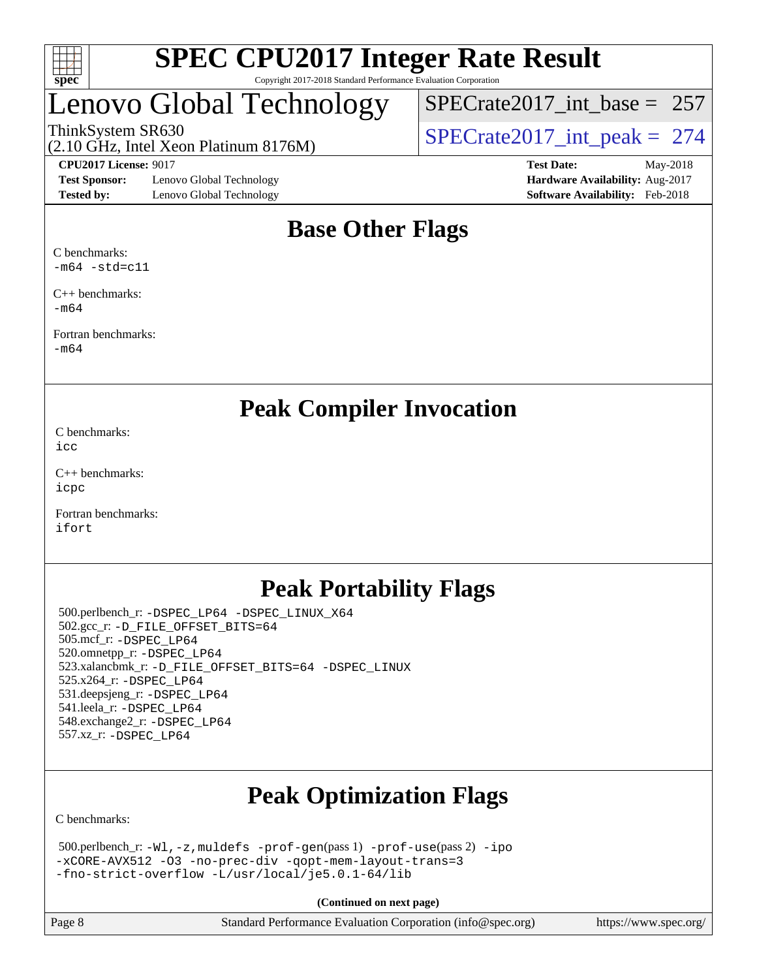

# Lenovo Global Technology

ThinkSystem SR630<br>(2.10 GHz, Intel Xeon Platinum 8176M)  $SPECrate2017\_int\_peak = 274$ [SPECrate2017\\_int\\_base =](http://www.spec.org/auto/cpu2017/Docs/result-fields.html#SPECrate2017intbase) 257

(2.10 GHz, Intel Xeon Platinum 8176M)

**[Test Sponsor:](http://www.spec.org/auto/cpu2017/Docs/result-fields.html#TestSponsor)** Lenovo Global Technology **[Hardware Availability:](http://www.spec.org/auto/cpu2017/Docs/result-fields.html#HardwareAvailability)** Aug-2017 **[Tested by:](http://www.spec.org/auto/cpu2017/Docs/result-fields.html#Testedby)** Lenovo Global Technology **[Software Availability:](http://www.spec.org/auto/cpu2017/Docs/result-fields.html#SoftwareAvailability)** Feb-2018

**[CPU2017 License:](http://www.spec.org/auto/cpu2017/Docs/result-fields.html#CPU2017License)** 9017 **[Test Date:](http://www.spec.org/auto/cpu2017/Docs/result-fields.html#TestDate)** May-2018

# **[Base Other Flags](http://www.spec.org/auto/cpu2017/Docs/result-fields.html#BaseOtherFlags)**

[C benchmarks:](http://www.spec.org/auto/cpu2017/Docs/result-fields.html#Cbenchmarks)  $-m64$   $-std=c11$ 

[C++ benchmarks:](http://www.spec.org/auto/cpu2017/Docs/result-fields.html#CXXbenchmarks) [-m64](http://www.spec.org/cpu2017/results/res2018q2/cpu2017-20180528-06042.flags.html#user_CXXbase_intel_intel64_18.0_af43caccfc8ded86e7699f2159af6efc7655f51387b94da716254467f3c01020a5059329e2569e4053f409e7c9202a7efc638f7a6d1ffb3f52dea4a3e31d82ab)

[Fortran benchmarks](http://www.spec.org/auto/cpu2017/Docs/result-fields.html#Fortranbenchmarks): [-m64](http://www.spec.org/cpu2017/results/res2018q2/cpu2017-20180528-06042.flags.html#user_FCbase_intel_intel64_18.0_af43caccfc8ded86e7699f2159af6efc7655f51387b94da716254467f3c01020a5059329e2569e4053f409e7c9202a7efc638f7a6d1ffb3f52dea4a3e31d82ab)

**[Peak Compiler Invocation](http://www.spec.org/auto/cpu2017/Docs/result-fields.html#PeakCompilerInvocation)**

[C benchmarks](http://www.spec.org/auto/cpu2017/Docs/result-fields.html#Cbenchmarks): [icc](http://www.spec.org/cpu2017/results/res2018q2/cpu2017-20180528-06042.flags.html#user_CCpeak_intel_icc_18.0_66fc1ee009f7361af1fbd72ca7dcefbb700085f36577c54f309893dd4ec40d12360134090235512931783d35fd58c0460139e722d5067c5574d8eaf2b3e37e92)

[C++ benchmarks:](http://www.spec.org/auto/cpu2017/Docs/result-fields.html#CXXbenchmarks) [icpc](http://www.spec.org/cpu2017/results/res2018q2/cpu2017-20180528-06042.flags.html#user_CXXpeak_intel_icpc_18.0_c510b6838c7f56d33e37e94d029a35b4a7bccf4766a728ee175e80a419847e808290a9b78be685c44ab727ea267ec2f070ec5dc83b407c0218cded6866a35d07)

[Fortran benchmarks](http://www.spec.org/auto/cpu2017/Docs/result-fields.html#Fortranbenchmarks): [ifort](http://www.spec.org/cpu2017/results/res2018q2/cpu2017-20180528-06042.flags.html#user_FCpeak_intel_ifort_18.0_8111460550e3ca792625aed983ce982f94888b8b503583aa7ba2b8303487b4d8a21a13e7191a45c5fd58ff318f48f9492884d4413fa793fd88dd292cad7027ca)

# **[Peak Portability Flags](http://www.spec.org/auto/cpu2017/Docs/result-fields.html#PeakPortabilityFlags)**

 500.perlbench\_r: [-DSPEC\\_LP64](http://www.spec.org/cpu2017/results/res2018q2/cpu2017-20180528-06042.flags.html#b500.perlbench_r_peakPORTABILITY_DSPEC_LP64) [-DSPEC\\_LINUX\\_X64](http://www.spec.org/cpu2017/results/res2018q2/cpu2017-20180528-06042.flags.html#b500.perlbench_r_peakCPORTABILITY_DSPEC_LINUX_X64) 502.gcc\_r: [-D\\_FILE\\_OFFSET\\_BITS=64](http://www.spec.org/cpu2017/results/res2018q2/cpu2017-20180528-06042.flags.html#user_peakPORTABILITY502_gcc_r_file_offset_bits_64_5ae949a99b284ddf4e95728d47cb0843d81b2eb0e18bdfe74bbf0f61d0b064f4bda2f10ea5eb90e1dcab0e84dbc592acfc5018bc955c18609f94ddb8d550002c) 505.mcf\_r: [-DSPEC\\_LP64](http://www.spec.org/cpu2017/results/res2018q2/cpu2017-20180528-06042.flags.html#suite_peakPORTABILITY505_mcf_r_DSPEC_LP64) 520.omnetpp\_r: [-DSPEC\\_LP64](http://www.spec.org/cpu2017/results/res2018q2/cpu2017-20180528-06042.flags.html#suite_peakPORTABILITY520_omnetpp_r_DSPEC_LP64) 523.xalancbmk\_r: [-D\\_FILE\\_OFFSET\\_BITS=64](http://www.spec.org/cpu2017/results/res2018q2/cpu2017-20180528-06042.flags.html#user_peakPORTABILITY523_xalancbmk_r_file_offset_bits_64_5ae949a99b284ddf4e95728d47cb0843d81b2eb0e18bdfe74bbf0f61d0b064f4bda2f10ea5eb90e1dcab0e84dbc592acfc5018bc955c18609f94ddb8d550002c) [-DSPEC\\_LINUX](http://www.spec.org/cpu2017/results/res2018q2/cpu2017-20180528-06042.flags.html#b523.xalancbmk_r_peakCXXPORTABILITY_DSPEC_LINUX) 525.x264\_r: [-DSPEC\\_LP64](http://www.spec.org/cpu2017/results/res2018q2/cpu2017-20180528-06042.flags.html#suite_peakPORTABILITY525_x264_r_DSPEC_LP64) 531.deepsjeng\_r: [-DSPEC\\_LP64](http://www.spec.org/cpu2017/results/res2018q2/cpu2017-20180528-06042.flags.html#suite_peakPORTABILITY531_deepsjeng_r_DSPEC_LP64) 541.leela\_r: [-DSPEC\\_LP64](http://www.spec.org/cpu2017/results/res2018q2/cpu2017-20180528-06042.flags.html#suite_peakPORTABILITY541_leela_r_DSPEC_LP64) 548.exchange2\_r: [-DSPEC\\_LP64](http://www.spec.org/cpu2017/results/res2018q2/cpu2017-20180528-06042.flags.html#suite_peakPORTABILITY548_exchange2_r_DSPEC_LP64) 557.xz\_r: [-DSPEC\\_LP64](http://www.spec.org/cpu2017/results/res2018q2/cpu2017-20180528-06042.flags.html#suite_peakPORTABILITY557_xz_r_DSPEC_LP64)

# **[Peak Optimization Flags](http://www.spec.org/auto/cpu2017/Docs/result-fields.html#PeakOptimizationFlags)**

[C benchmarks](http://www.spec.org/auto/cpu2017/Docs/result-fields.html#Cbenchmarks):

 500.perlbench\_r: [-Wl,-z,muldefs](http://www.spec.org/cpu2017/results/res2018q2/cpu2017-20180528-06042.flags.html#user_peakEXTRA_LDFLAGS500_perlbench_r_link_force_multiple1_b4cbdb97b34bdee9ceefcfe54f4c8ea74255f0b02a4b23e853cdb0e18eb4525ac79b5a88067c842dd0ee6996c24547a27a4b99331201badda8798ef8a743f577) [-prof-gen](http://www.spec.org/cpu2017/results/res2018q2/cpu2017-20180528-06042.flags.html#user_peakPASS1_CFLAGSPASS1_LDFLAGS500_perlbench_r_prof_gen_5aa4926d6013ddb2a31985c654b3eb18169fc0c6952a63635c234f711e6e63dd76e94ad52365559451ec499a2cdb89e4dc58ba4c67ef54ca681ffbe1461d6b36)(pass 1) [-prof-use](http://www.spec.org/cpu2017/results/res2018q2/cpu2017-20180528-06042.flags.html#user_peakPASS2_CFLAGSPASS2_LDFLAGS500_perlbench_r_prof_use_1a21ceae95f36a2b53c25747139a6c16ca95bd9def2a207b4f0849963b97e94f5260e30a0c64f4bb623698870e679ca08317ef8150905d41bd88c6f78df73f19)(pass 2) [-ipo](http://www.spec.org/cpu2017/results/res2018q2/cpu2017-20180528-06042.flags.html#user_peakPASS1_COPTIMIZEPASS2_COPTIMIZE500_perlbench_r_f-ipo) [-xCORE-AVX512](http://www.spec.org/cpu2017/results/res2018q2/cpu2017-20180528-06042.flags.html#user_peakPASS2_COPTIMIZE500_perlbench_r_f-xCORE-AVX512) [-O3](http://www.spec.org/cpu2017/results/res2018q2/cpu2017-20180528-06042.flags.html#user_peakPASS1_COPTIMIZEPASS2_COPTIMIZE500_perlbench_r_f-O3) [-no-prec-div](http://www.spec.org/cpu2017/results/res2018q2/cpu2017-20180528-06042.flags.html#user_peakPASS1_COPTIMIZEPASS2_COPTIMIZE500_perlbench_r_f-no-prec-div) [-qopt-mem-layout-trans=3](http://www.spec.org/cpu2017/results/res2018q2/cpu2017-20180528-06042.flags.html#user_peakPASS1_COPTIMIZEPASS2_COPTIMIZE500_perlbench_r_f-qopt-mem-layout-trans_de80db37974c74b1f0e20d883f0b675c88c3b01e9d123adea9b28688d64333345fb62bc4a798493513fdb68f60282f9a726aa07f478b2f7113531aecce732043) [-fno-strict-overflow](http://www.spec.org/cpu2017/results/res2018q2/cpu2017-20180528-06042.flags.html#user_peakEXTRA_OPTIMIZE500_perlbench_r_f-fno-strict-overflow) [-L/usr/local/je5.0.1-64/lib](http://www.spec.org/cpu2017/results/res2018q2/cpu2017-20180528-06042.flags.html#user_peakEXTRA_LIBS500_perlbench_r_jemalloc_link_path64_4b10a636b7bce113509b17f3bd0d6226c5fb2346b9178c2d0232c14f04ab830f976640479e5c33dc2bcbbdad86ecfb6634cbbd4418746f06f368b512fced5394)

**(Continued on next page)**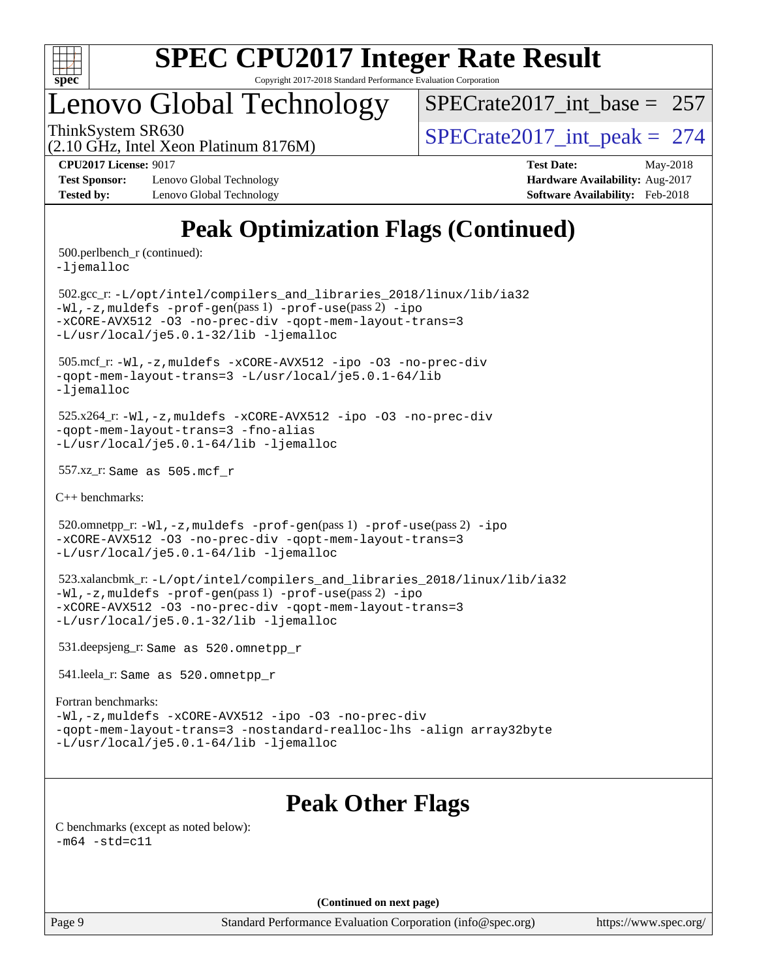

# Lenovo Global Technology

 $SPECrate2017\_int\_base = 257$ 

(2.10 GHz, Intel Xeon Platinum 8176M) ThinkSystem SR630<br>  $\angle Q$  10 GHz, Intel Year Platinum 8176M

**[Test Sponsor:](http://www.spec.org/auto/cpu2017/Docs/result-fields.html#TestSponsor)** Lenovo Global Technology **[Hardware Availability:](http://www.spec.org/auto/cpu2017/Docs/result-fields.html#HardwareAvailability)** Aug-2017 **[Tested by:](http://www.spec.org/auto/cpu2017/Docs/result-fields.html#Testedby)** Lenovo Global Technology **[Software Availability:](http://www.spec.org/auto/cpu2017/Docs/result-fields.html#SoftwareAvailability)** Feb-2018

**[CPU2017 License:](http://www.spec.org/auto/cpu2017/Docs/result-fields.html#CPU2017License)** 9017 **[Test Date:](http://www.spec.org/auto/cpu2017/Docs/result-fields.html#TestDate)** May-2018

# **[Peak Optimization Flags \(Continued\)](http://www.spec.org/auto/cpu2017/Docs/result-fields.html#PeakOptimizationFlags)**

500.perlbench\_r (continued):

[-ljemalloc](http://www.spec.org/cpu2017/results/res2018q2/cpu2017-20180528-06042.flags.html#user_peakEXTRA_LIBS500_perlbench_r_jemalloc_link_lib_d1249b907c500fa1c0672f44f562e3d0f79738ae9e3c4a9c376d49f265a04b9c99b167ecedbf6711b3085be911c67ff61f150a17b3472be731631ba4d0471706)

 502.gcc\_r: [-L/opt/intel/compilers\\_and\\_libraries\\_2018/linux/lib/ia32](http://www.spec.org/cpu2017/results/res2018q2/cpu2017-20180528-06042.flags.html#user_peakCCLD502_gcc_r_Enable-32bit-runtime_af243bdb1d79e4c7a4f720bf8275e627de2ecd461de63307bc14cef0633fde3cd7bb2facb32dcc8be9566045fb55d40ce2b72b725f73827aa7833441b71b9343) [-Wl,-z,muldefs](http://www.spec.org/cpu2017/results/res2018q2/cpu2017-20180528-06042.flags.html#user_peakEXTRA_LDFLAGS502_gcc_r_link_force_multiple1_b4cbdb97b34bdee9ceefcfe54f4c8ea74255f0b02a4b23e853cdb0e18eb4525ac79b5a88067c842dd0ee6996c24547a27a4b99331201badda8798ef8a743f577) [-prof-gen](http://www.spec.org/cpu2017/results/res2018q2/cpu2017-20180528-06042.flags.html#user_peakPASS1_CFLAGSPASS1_LDFLAGS502_gcc_r_prof_gen_5aa4926d6013ddb2a31985c654b3eb18169fc0c6952a63635c234f711e6e63dd76e94ad52365559451ec499a2cdb89e4dc58ba4c67ef54ca681ffbe1461d6b36)(pass 1) [-prof-use](http://www.spec.org/cpu2017/results/res2018q2/cpu2017-20180528-06042.flags.html#user_peakPASS2_CFLAGSPASS2_LDFLAGS502_gcc_r_prof_use_1a21ceae95f36a2b53c25747139a6c16ca95bd9def2a207b4f0849963b97e94f5260e30a0c64f4bb623698870e679ca08317ef8150905d41bd88c6f78df73f19)(pass 2) [-ipo](http://www.spec.org/cpu2017/results/res2018q2/cpu2017-20180528-06042.flags.html#user_peakPASS1_COPTIMIZEPASS2_COPTIMIZE502_gcc_r_f-ipo) [-xCORE-AVX512](http://www.spec.org/cpu2017/results/res2018q2/cpu2017-20180528-06042.flags.html#user_peakPASS2_COPTIMIZE502_gcc_r_f-xCORE-AVX512) [-O3](http://www.spec.org/cpu2017/results/res2018q2/cpu2017-20180528-06042.flags.html#user_peakPASS1_COPTIMIZEPASS2_COPTIMIZE502_gcc_r_f-O3) [-no-prec-div](http://www.spec.org/cpu2017/results/res2018q2/cpu2017-20180528-06042.flags.html#user_peakPASS1_COPTIMIZEPASS2_COPTIMIZE502_gcc_r_f-no-prec-div) [-qopt-mem-layout-trans=3](http://www.spec.org/cpu2017/results/res2018q2/cpu2017-20180528-06042.flags.html#user_peakPASS1_COPTIMIZEPASS2_COPTIMIZE502_gcc_r_f-qopt-mem-layout-trans_de80db37974c74b1f0e20d883f0b675c88c3b01e9d123adea9b28688d64333345fb62bc4a798493513fdb68f60282f9a726aa07f478b2f7113531aecce732043) [-L/usr/local/je5.0.1-32/lib](http://www.spec.org/cpu2017/results/res2018q2/cpu2017-20180528-06042.flags.html#user_peakEXTRA_LIBS502_gcc_r_jemalloc_link_path32_e29f22e8e6c17053bbc6a0971f5a9c01a601a06bb1a59df2084b77a2fe0a2995b64fd4256feaeea39eeba3aae142e96e2b2b0a28974019c0c0c88139a84f900a) [-ljemalloc](http://www.spec.org/cpu2017/results/res2018q2/cpu2017-20180528-06042.flags.html#user_peakEXTRA_LIBS502_gcc_r_jemalloc_link_lib_d1249b907c500fa1c0672f44f562e3d0f79738ae9e3c4a9c376d49f265a04b9c99b167ecedbf6711b3085be911c67ff61f150a17b3472be731631ba4d0471706)

 505.mcf\_r: [-Wl,-z,muldefs](http://www.spec.org/cpu2017/results/res2018q2/cpu2017-20180528-06042.flags.html#user_peakEXTRA_LDFLAGS505_mcf_r_link_force_multiple1_b4cbdb97b34bdee9ceefcfe54f4c8ea74255f0b02a4b23e853cdb0e18eb4525ac79b5a88067c842dd0ee6996c24547a27a4b99331201badda8798ef8a743f577) [-xCORE-AVX512](http://www.spec.org/cpu2017/results/res2018q2/cpu2017-20180528-06042.flags.html#user_peakCOPTIMIZE505_mcf_r_f-xCORE-AVX512) [-ipo](http://www.spec.org/cpu2017/results/res2018q2/cpu2017-20180528-06042.flags.html#user_peakCOPTIMIZE505_mcf_r_f-ipo) [-O3](http://www.spec.org/cpu2017/results/res2018q2/cpu2017-20180528-06042.flags.html#user_peakCOPTIMIZE505_mcf_r_f-O3) [-no-prec-div](http://www.spec.org/cpu2017/results/res2018q2/cpu2017-20180528-06042.flags.html#user_peakCOPTIMIZE505_mcf_r_f-no-prec-div) [-qopt-mem-layout-trans=3](http://www.spec.org/cpu2017/results/res2018q2/cpu2017-20180528-06042.flags.html#user_peakCOPTIMIZE505_mcf_r_f-qopt-mem-layout-trans_de80db37974c74b1f0e20d883f0b675c88c3b01e9d123adea9b28688d64333345fb62bc4a798493513fdb68f60282f9a726aa07f478b2f7113531aecce732043) [-L/usr/local/je5.0.1-64/lib](http://www.spec.org/cpu2017/results/res2018q2/cpu2017-20180528-06042.flags.html#user_peakEXTRA_LIBS505_mcf_r_jemalloc_link_path64_4b10a636b7bce113509b17f3bd0d6226c5fb2346b9178c2d0232c14f04ab830f976640479e5c33dc2bcbbdad86ecfb6634cbbd4418746f06f368b512fced5394) [-ljemalloc](http://www.spec.org/cpu2017/results/res2018q2/cpu2017-20180528-06042.flags.html#user_peakEXTRA_LIBS505_mcf_r_jemalloc_link_lib_d1249b907c500fa1c0672f44f562e3d0f79738ae9e3c4a9c376d49f265a04b9c99b167ecedbf6711b3085be911c67ff61f150a17b3472be731631ba4d0471706)

 525.x264\_r: [-Wl,-z,muldefs](http://www.spec.org/cpu2017/results/res2018q2/cpu2017-20180528-06042.flags.html#user_peakEXTRA_LDFLAGS525_x264_r_link_force_multiple1_b4cbdb97b34bdee9ceefcfe54f4c8ea74255f0b02a4b23e853cdb0e18eb4525ac79b5a88067c842dd0ee6996c24547a27a4b99331201badda8798ef8a743f577) [-xCORE-AVX512](http://www.spec.org/cpu2017/results/res2018q2/cpu2017-20180528-06042.flags.html#user_peakCOPTIMIZE525_x264_r_f-xCORE-AVX512) [-ipo](http://www.spec.org/cpu2017/results/res2018q2/cpu2017-20180528-06042.flags.html#user_peakCOPTIMIZE525_x264_r_f-ipo) [-O3](http://www.spec.org/cpu2017/results/res2018q2/cpu2017-20180528-06042.flags.html#user_peakCOPTIMIZE525_x264_r_f-O3) [-no-prec-div](http://www.spec.org/cpu2017/results/res2018q2/cpu2017-20180528-06042.flags.html#user_peakCOPTIMIZE525_x264_r_f-no-prec-div) [-qopt-mem-layout-trans=3](http://www.spec.org/cpu2017/results/res2018q2/cpu2017-20180528-06042.flags.html#user_peakCOPTIMIZE525_x264_r_f-qopt-mem-layout-trans_de80db37974c74b1f0e20d883f0b675c88c3b01e9d123adea9b28688d64333345fb62bc4a798493513fdb68f60282f9a726aa07f478b2f7113531aecce732043) [-fno-alias](http://www.spec.org/cpu2017/results/res2018q2/cpu2017-20180528-06042.flags.html#user_peakEXTRA_OPTIMIZE525_x264_r_f-no-alias_77dbac10d91cbfe898fbf4a29d1b29b694089caa623bdd1baccc9957d4edbe8d106c0b357e2748a65b44fc9e83d78098bb898077f3fe92f9faf24f7bd4a07ed7) [-L/usr/local/je5.0.1-64/lib](http://www.spec.org/cpu2017/results/res2018q2/cpu2017-20180528-06042.flags.html#user_peakEXTRA_LIBS525_x264_r_jemalloc_link_path64_4b10a636b7bce113509b17f3bd0d6226c5fb2346b9178c2d0232c14f04ab830f976640479e5c33dc2bcbbdad86ecfb6634cbbd4418746f06f368b512fced5394) [-ljemalloc](http://www.spec.org/cpu2017/results/res2018q2/cpu2017-20180528-06042.flags.html#user_peakEXTRA_LIBS525_x264_r_jemalloc_link_lib_d1249b907c500fa1c0672f44f562e3d0f79738ae9e3c4a9c376d49f265a04b9c99b167ecedbf6711b3085be911c67ff61f150a17b3472be731631ba4d0471706)

557.xz\_r: Same as 505.mcf\_r

[C++ benchmarks:](http://www.spec.org/auto/cpu2017/Docs/result-fields.html#CXXbenchmarks)

520.omnetpp\_r: $-Wl$ ,-z,muldefs -prof-qen(pass 1) [-prof-use](http://www.spec.org/cpu2017/results/res2018q2/cpu2017-20180528-06042.flags.html#user_peakPASS2_CXXFLAGSPASS2_LDFLAGS520_omnetpp_r_prof_use_1a21ceae95f36a2b53c25747139a6c16ca95bd9def2a207b4f0849963b97e94f5260e30a0c64f4bb623698870e679ca08317ef8150905d41bd88c6f78df73f19)(pass 2) [-ipo](http://www.spec.org/cpu2017/results/res2018q2/cpu2017-20180528-06042.flags.html#user_peakPASS1_CXXOPTIMIZEPASS2_CXXOPTIMIZE520_omnetpp_r_f-ipo) [-xCORE-AVX512](http://www.spec.org/cpu2017/results/res2018q2/cpu2017-20180528-06042.flags.html#user_peakPASS2_CXXOPTIMIZE520_omnetpp_r_f-xCORE-AVX512) [-O3](http://www.spec.org/cpu2017/results/res2018q2/cpu2017-20180528-06042.flags.html#user_peakPASS1_CXXOPTIMIZEPASS2_CXXOPTIMIZE520_omnetpp_r_f-O3) [-no-prec-div](http://www.spec.org/cpu2017/results/res2018q2/cpu2017-20180528-06042.flags.html#user_peakPASS1_CXXOPTIMIZEPASS2_CXXOPTIMIZE520_omnetpp_r_f-no-prec-div) [-qopt-mem-layout-trans=3](http://www.spec.org/cpu2017/results/res2018q2/cpu2017-20180528-06042.flags.html#user_peakPASS1_CXXOPTIMIZEPASS2_CXXOPTIMIZE520_omnetpp_r_f-qopt-mem-layout-trans_de80db37974c74b1f0e20d883f0b675c88c3b01e9d123adea9b28688d64333345fb62bc4a798493513fdb68f60282f9a726aa07f478b2f7113531aecce732043) [-L/usr/local/je5.0.1-64/lib](http://www.spec.org/cpu2017/results/res2018q2/cpu2017-20180528-06042.flags.html#user_peakEXTRA_LIBS520_omnetpp_r_jemalloc_link_path64_4b10a636b7bce113509b17f3bd0d6226c5fb2346b9178c2d0232c14f04ab830f976640479e5c33dc2bcbbdad86ecfb6634cbbd4418746f06f368b512fced5394) [-ljemalloc](http://www.spec.org/cpu2017/results/res2018q2/cpu2017-20180528-06042.flags.html#user_peakEXTRA_LIBS520_omnetpp_r_jemalloc_link_lib_d1249b907c500fa1c0672f44f562e3d0f79738ae9e3c4a9c376d49f265a04b9c99b167ecedbf6711b3085be911c67ff61f150a17b3472be731631ba4d0471706)

 523.xalancbmk\_r: [-L/opt/intel/compilers\\_and\\_libraries\\_2018/linux/lib/ia32](http://www.spec.org/cpu2017/results/res2018q2/cpu2017-20180528-06042.flags.html#user_peakCXXLD523_xalancbmk_r_Enable-32bit-runtime_af243bdb1d79e4c7a4f720bf8275e627de2ecd461de63307bc14cef0633fde3cd7bb2facb32dcc8be9566045fb55d40ce2b72b725f73827aa7833441b71b9343) [-Wl,-z,muldefs](http://www.spec.org/cpu2017/results/res2018q2/cpu2017-20180528-06042.flags.html#user_peakEXTRA_LDFLAGS523_xalancbmk_r_link_force_multiple1_b4cbdb97b34bdee9ceefcfe54f4c8ea74255f0b02a4b23e853cdb0e18eb4525ac79b5a88067c842dd0ee6996c24547a27a4b99331201badda8798ef8a743f577) [-prof-gen](http://www.spec.org/cpu2017/results/res2018q2/cpu2017-20180528-06042.flags.html#user_peakPASS1_CXXFLAGSPASS1_LDFLAGS523_xalancbmk_r_prof_gen_5aa4926d6013ddb2a31985c654b3eb18169fc0c6952a63635c234f711e6e63dd76e94ad52365559451ec499a2cdb89e4dc58ba4c67ef54ca681ffbe1461d6b36)(pass 1) [-prof-use](http://www.spec.org/cpu2017/results/res2018q2/cpu2017-20180528-06042.flags.html#user_peakPASS2_CXXFLAGSPASS2_LDFLAGS523_xalancbmk_r_prof_use_1a21ceae95f36a2b53c25747139a6c16ca95bd9def2a207b4f0849963b97e94f5260e30a0c64f4bb623698870e679ca08317ef8150905d41bd88c6f78df73f19)(pass 2) [-ipo](http://www.spec.org/cpu2017/results/res2018q2/cpu2017-20180528-06042.flags.html#user_peakPASS1_CXXOPTIMIZEPASS2_CXXOPTIMIZE523_xalancbmk_r_f-ipo) [-xCORE-AVX512](http://www.spec.org/cpu2017/results/res2018q2/cpu2017-20180528-06042.flags.html#user_peakPASS2_CXXOPTIMIZE523_xalancbmk_r_f-xCORE-AVX512) [-O3](http://www.spec.org/cpu2017/results/res2018q2/cpu2017-20180528-06042.flags.html#user_peakPASS1_CXXOPTIMIZEPASS2_CXXOPTIMIZE523_xalancbmk_r_f-O3) [-no-prec-div](http://www.spec.org/cpu2017/results/res2018q2/cpu2017-20180528-06042.flags.html#user_peakPASS1_CXXOPTIMIZEPASS2_CXXOPTIMIZE523_xalancbmk_r_f-no-prec-div) [-qopt-mem-layout-trans=3](http://www.spec.org/cpu2017/results/res2018q2/cpu2017-20180528-06042.flags.html#user_peakPASS1_CXXOPTIMIZEPASS2_CXXOPTIMIZE523_xalancbmk_r_f-qopt-mem-layout-trans_de80db37974c74b1f0e20d883f0b675c88c3b01e9d123adea9b28688d64333345fb62bc4a798493513fdb68f60282f9a726aa07f478b2f7113531aecce732043) [-L/usr/local/je5.0.1-32/lib](http://www.spec.org/cpu2017/results/res2018q2/cpu2017-20180528-06042.flags.html#user_peakEXTRA_LIBS523_xalancbmk_r_jemalloc_link_path32_e29f22e8e6c17053bbc6a0971f5a9c01a601a06bb1a59df2084b77a2fe0a2995b64fd4256feaeea39eeba3aae142e96e2b2b0a28974019c0c0c88139a84f900a) [-ljemalloc](http://www.spec.org/cpu2017/results/res2018q2/cpu2017-20180528-06042.flags.html#user_peakEXTRA_LIBS523_xalancbmk_r_jemalloc_link_lib_d1249b907c500fa1c0672f44f562e3d0f79738ae9e3c4a9c376d49f265a04b9c99b167ecedbf6711b3085be911c67ff61f150a17b3472be731631ba4d0471706)

531.deepsjeng\_r: Same as 520.omnetpp\_r

541.leela\_r: Same as 520.omnetpp\_r

#### [Fortran benchmarks](http://www.spec.org/auto/cpu2017/Docs/result-fields.html#Fortranbenchmarks):

[-Wl,-z,muldefs](http://www.spec.org/cpu2017/results/res2018q2/cpu2017-20180528-06042.flags.html#user_FCpeak_link_force_multiple1_b4cbdb97b34bdee9ceefcfe54f4c8ea74255f0b02a4b23e853cdb0e18eb4525ac79b5a88067c842dd0ee6996c24547a27a4b99331201badda8798ef8a743f577) [-xCORE-AVX512](http://www.spec.org/cpu2017/results/res2018q2/cpu2017-20180528-06042.flags.html#user_FCpeak_f-xCORE-AVX512) [-ipo](http://www.spec.org/cpu2017/results/res2018q2/cpu2017-20180528-06042.flags.html#user_FCpeak_f-ipo) [-O3](http://www.spec.org/cpu2017/results/res2018q2/cpu2017-20180528-06042.flags.html#user_FCpeak_f-O3) [-no-prec-div](http://www.spec.org/cpu2017/results/res2018q2/cpu2017-20180528-06042.flags.html#user_FCpeak_f-no-prec-div) [-qopt-mem-layout-trans=3](http://www.spec.org/cpu2017/results/res2018q2/cpu2017-20180528-06042.flags.html#user_FCpeak_f-qopt-mem-layout-trans_de80db37974c74b1f0e20d883f0b675c88c3b01e9d123adea9b28688d64333345fb62bc4a798493513fdb68f60282f9a726aa07f478b2f7113531aecce732043) [-nostandard-realloc-lhs](http://www.spec.org/cpu2017/results/res2018q2/cpu2017-20180528-06042.flags.html#user_FCpeak_f_2003_std_realloc_82b4557e90729c0f113870c07e44d33d6f5a304b4f63d4c15d2d0f1fab99f5daaed73bdb9275d9ae411527f28b936061aa8b9c8f2d63842963b95c9dd6426b8a) [-align array32byte](http://www.spec.org/cpu2017/results/res2018q2/cpu2017-20180528-06042.flags.html#user_FCpeak_align_array32byte_b982fe038af199962ba9a80c053b8342c548c85b40b8e86eb3cc33dee0d7986a4af373ac2d51c3f7cf710a18d62fdce2948f201cd044323541f22fc0fffc51b6) [-L/usr/local/je5.0.1-64/lib](http://www.spec.org/cpu2017/results/res2018q2/cpu2017-20180528-06042.flags.html#user_FCpeak_jemalloc_link_path64_4b10a636b7bce113509b17f3bd0d6226c5fb2346b9178c2d0232c14f04ab830f976640479e5c33dc2bcbbdad86ecfb6634cbbd4418746f06f368b512fced5394) [-ljemalloc](http://www.spec.org/cpu2017/results/res2018q2/cpu2017-20180528-06042.flags.html#user_FCpeak_jemalloc_link_lib_d1249b907c500fa1c0672f44f562e3d0f79738ae9e3c4a9c376d49f265a04b9c99b167ecedbf6711b3085be911c67ff61f150a17b3472be731631ba4d0471706)

# **[Peak Other Flags](http://www.spec.org/auto/cpu2017/Docs/result-fields.html#PeakOtherFlags)**

[C benchmarks \(except as noted below\)](http://www.spec.org/auto/cpu2017/Docs/result-fields.html#Cbenchmarksexceptasnotedbelow):  $-m64 - std= c11$  $-m64 - std= c11$ 

**(Continued on next page)**

Page 9 Standard Performance Evaluation Corporation [\(info@spec.org\)](mailto:info@spec.org) <https://www.spec.org/>